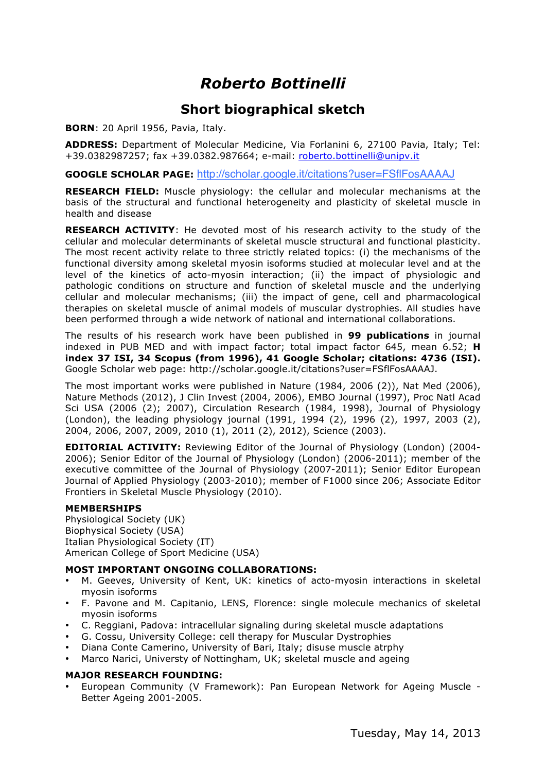# *Roberto Bottinelli*

### **Short biographical sketch**

**BORN**: 20 April 1956, Pavia, Italy.

**ADDRESS:** Department of Molecular Medicine, Via Forlanini 6, 27100 Pavia, Italy; Tel: +39.0382987257; fax +39.0382.987664; e-mail: roberto.bottinelli@unipv.it

**GOOGLE SCHOLAR PAGE:** http://scholar.google.it/citations?user=FSflFosAAAAJ

**RESEARCH FIELD:** Muscle physiology: the cellular and molecular mechanisms at the basis of the structural and functional heterogeneity and plasticity of skeletal muscle in health and disease

**RESEARCH ACTIVITY**: He devoted most of his research activity to the study of the cellular and molecular determinants of skeletal muscle structural and functional plasticity. The most recent activity relate to three strictly related topics: (i) the mechanisms of the functional diversity among skeletal myosin isoforms studied at molecular level and at the level of the kinetics of acto-myosin interaction; (ii) the impact of physiologic and pathologic conditions on structure and function of skeletal muscle and the underlying cellular and molecular mechanisms; (iii) the impact of gene, cell and pharmacological therapies on skeletal muscle of animal models of muscular dystrophies. All studies have been performed through a wide network of national and international collaborations.

The results of his research work have been published in **99 publications** in journal indexed in PUB MED and with impact factor; total impact factor 645, mean 6.52; **H index 37 ISI, 34 Scopus (from 1996), 41 Google Scholar; citations: 4736 (ISI).** Google Scholar web page: http://scholar.google.it/citations?user=FSflFosAAAAJ.

The most important works were published in Nature (1984, 2006 (2)), Nat Med (2006), Nature Methods (2012), J Clin Invest (2004, 2006), EMBO Journal (1997), Proc Natl Acad Sci USA (2006 (2); 2007), Circulation Research (1984, 1998), Journal of Physiology (London), the leading physiology journal (1991, 1994 (2), 1996 (2), 1997, 2003 (2), 2004, 2006, 2007, 2009, 2010 (1), 2011 (2), 2012), Science (2003).

**EDITORIAL ACTIVITY:** Reviewing Editor of the Journal of Physiology (London) (2004- 2006); Senior Editor of the Journal of Physiology (London) (2006-2011); member of the executive committee of the Journal of Physiology (2007-2011); Senior Editor European Journal of Applied Physiology (2003-2010); member of F1000 since 206; Associate Editor Frontiers in Skeletal Muscle Physiology (2010).

#### **MEMBERSHIPS**

Physiological Society (UK) Biophysical Society (USA) Italian Physiological Society (IT) American College of Sport Medicine (USA)

#### **MOST IMPORTANT ONGOING COLLABORATIONS:**

- M. Geeves, University of Kent, UK: kinetics of acto-myosin interactions in skeletal myosin isoforms
- F. Pavone and M. Capitanio, LENS, Florence: single molecule mechanics of skeletal myosin isoforms
- C. Reggiani, Padova: intracellular signaling during skeletal muscle adaptations
- G. Cossu, University College: cell therapy for Muscular Dystrophies
- Diana Conte Camerino, University of Bari, Italy; disuse muscle atrphy
- Marco Narici, Universty of Nottingham, UK; skeletal muscle and ageing

#### **MAJOR RESEARCH FOUNDING:**

• European Community (V Framework): Pan European Network for Ageing Muscle - Better Ageing 2001-2005.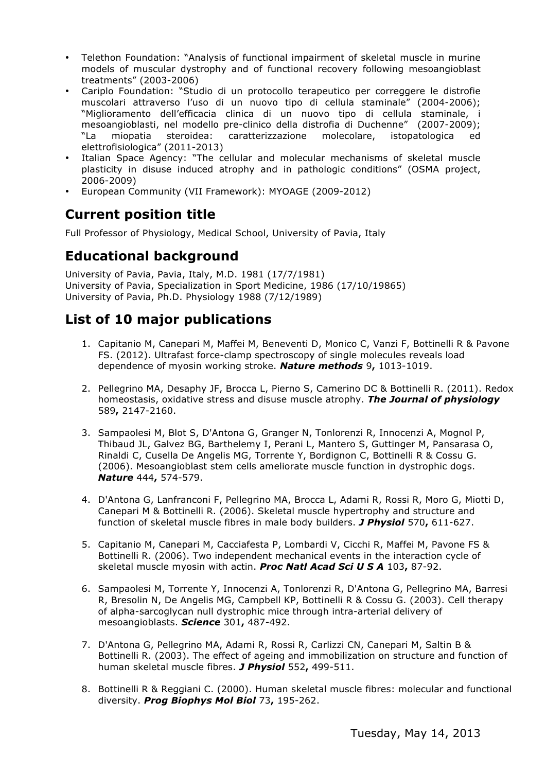- Telethon Foundation: "Analysis of functional impairment of skeletal muscle in murine models of muscular dystrophy and of functional recovery following mesoangioblast treatments" (2003-2006)
- Cariplo Foundation: "Studio di un protocollo terapeutico per correggere le distrofie muscolari attraverso l'uso di un nuovo tipo di cellula staminale" (2004-2006); "Miglioramento dell'efficacia clinica di un nuovo tipo di cellula staminale, i mesoangioblasti, nel modello pre-clinico della distrofia di Duchenne" (2007-2009); "La miopatia steroidea: caratterizzazione molecolare, istopatologica ed elettrofisiologica" (2011-2013)
- Italian Space Agency: "The cellular and molecular mechanisms of skeletal muscle plasticity in disuse induced atrophy and in pathologic conditions" (OSMA project, 2006-2009)
- European Community (VII Framework): MYOAGE (2009-2012)

## **Current position title**

Full Professor of Physiology, Medical School, University of Pavia, Italy

### **Educational background**

University of Pavia, Pavia, Italy, M.D. 1981 (17/7/1981) University of Pavia, Specialization in Sport Medicine, 1986 (17/10/19865) University of Pavia, Ph.D. Physiology 1988 (7/12/1989)

## **List of 10 major publications**

- 1. Capitanio M, Canepari M, Maffei M, Beneventi D, Monico C, Vanzi F, Bottinelli R & Pavone FS. (2012). Ultrafast force-clamp spectroscopy of single molecules reveals load dependence of myosin working stroke. *Nature methods* 9**,** 1013-1019.
- 2. Pellegrino MA, Desaphy JF, Brocca L, Pierno S, Camerino DC & Bottinelli R. (2011). Redox homeostasis, oxidative stress and disuse muscle atrophy. *The Journal of physiology* 589**,** 2147-2160.
- 3. Sampaolesi M, Blot S, D'Antona G, Granger N, Tonlorenzi R, Innocenzi A, Mognol P, Thibaud JL, Galvez BG, Barthelemy I, Perani L, Mantero S, Guttinger M, Pansarasa O, Rinaldi C, Cusella De Angelis MG, Torrente Y, Bordignon C, Bottinelli R & Cossu G. (2006). Mesoangioblast stem cells ameliorate muscle function in dystrophic dogs. *Nature* 444**,** 574-579.
- 4. D'Antona G, Lanfranconi F, Pellegrino MA, Brocca L, Adami R, Rossi R, Moro G, Miotti D, Canepari M & Bottinelli R. (2006). Skeletal muscle hypertrophy and structure and function of skeletal muscle fibres in male body builders. *J Physiol* 570**,** 611-627.
- 5. Capitanio M, Canepari M, Cacciafesta P, Lombardi V, Cicchi R, Maffei M, Pavone FS & Bottinelli R. (2006). Two independent mechanical events in the interaction cycle of skeletal muscle myosin with actin. *Proc Natl Acad Sci U S A* 103**,** 87-92.
- 6. Sampaolesi M, Torrente Y, Innocenzi A, Tonlorenzi R, D'Antona G, Pellegrino MA, Barresi R, Bresolin N, De Angelis MG, Campbell KP, Bottinelli R & Cossu G. (2003). Cell therapy of alpha-sarcoglycan null dystrophic mice through intra-arterial delivery of mesoangioblasts. *Science* 301**,** 487-492.
- 7. D'Antona G, Pellegrino MA, Adami R, Rossi R, Carlizzi CN, Canepari M, Saltin B & Bottinelli R. (2003). The effect of ageing and immobilization on structure and function of human skeletal muscle fibres. *J Physiol* 552**,** 499-511.
- 8. Bottinelli R & Reggiani C. (2000). Human skeletal muscle fibres: molecular and functional diversity. *Prog Biophys Mol Biol* 73**,** 195-262.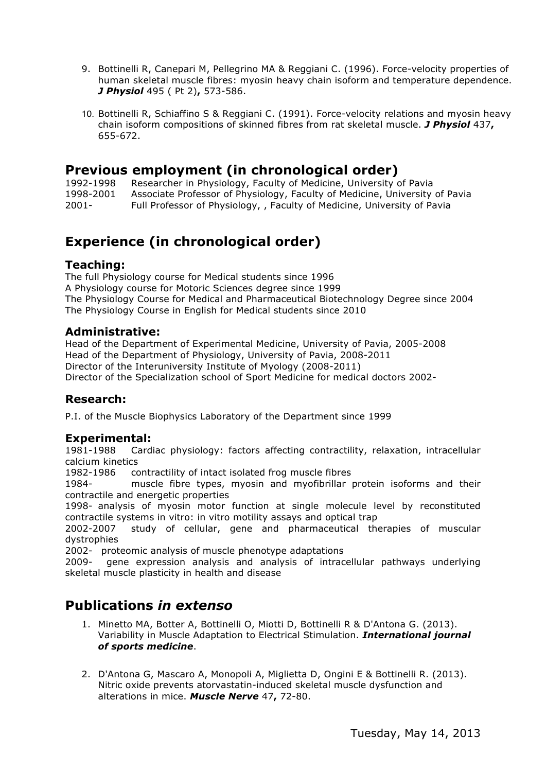- 9. Bottinelli R, Canepari M, Pellegrino MA & Reggiani C. (1996). Force-velocity properties of human skeletal muscle fibres: myosin heavy chain isoform and temperature dependence. *J Physiol* 495 ( Pt 2)**,** 573-586.
- 10. Bottinelli R, Schiaffino S & Reggiani C. (1991). Force-velocity relations and myosin heavy chain isoform compositions of skinned fibres from rat skeletal muscle. *J Physiol* 437**,** 655-672.

### **Previous employment (in chronological order)**

1992-1998 Researcher in Physiology, Faculty of Medicine, University of Pavia 1998-2001 Associate Professor of Physiology, Faculty of Medicine, University of Pavia 2001- Full Professor of Physiology, , Faculty of Medicine, University of Pavia

### **Experience (in chronological order)**

#### **Teaching:**

The full Physiology course for Medical students since 1996 A Physiology course for Motoric Sciences degree since 1999 The Physiology Course for Medical and Pharmaceutical Biotechnology Degree since 2004 The Physiology Course in English for Medical students since 2010

#### **Administrative:**

Head of the Department of Experimental Medicine, University of Pavia, 2005-2008 Head of the Department of Physiology, University of Pavia, 2008-2011 Director of the Interuniversity Institute of Myology (2008-2011) Director of the Specialization school of Sport Medicine for medical doctors 2002-

#### **Research:**

P.I. of the Muscle Biophysics Laboratory of the Department since 1999

#### **Experimental:**

1981-1988 Cardiac physiology: factors affecting contractility, relaxation, intracellular calcium kinetics

1982-1986 contractility of intact isolated frog muscle fibres

1984- muscle fibre types, myosin and myofibrillar protein isoforms and their contractile and energetic properties

1998- analysis of myosin motor function at single molecule level by reconstituted contractile systems in vitro: in vitro motility assays and optical trap

2002-2007 study of cellular, gene and pharmaceutical therapies of muscular dystrophies

2002- proteomic analysis of muscle phenotype adaptations

2009- gene expression analysis and analysis of intracellular pathways underlying skeletal muscle plasticity in health and disease

### **Publications** *in extenso*

- 1. Minetto MA, Botter A, Bottinelli O, Miotti D, Bottinelli R & D'Antona G. (2013). Variability in Muscle Adaptation to Electrical Stimulation. *International journal of sports medicine*.
- 2. D'Antona G, Mascaro A, Monopoli A, Miglietta D, Ongini E & Bottinelli R. (2013). Nitric oxide prevents atorvastatin-induced skeletal muscle dysfunction and alterations in mice. *Muscle Nerve* 47**,** 72-80.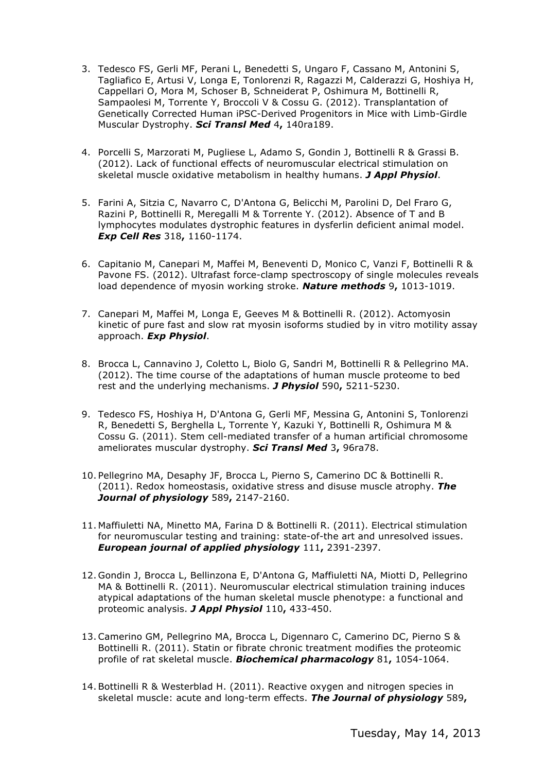- 3. Tedesco FS, Gerli MF, Perani L, Benedetti S, Ungaro F, Cassano M, Antonini S, Tagliafico E, Artusi V, Longa E, Tonlorenzi R, Ragazzi M, Calderazzi G, Hoshiya H, Cappellari O, Mora M, Schoser B, Schneiderat P, Oshimura M, Bottinelli R, Sampaolesi M, Torrente Y, Broccoli V & Cossu G. (2012). Transplantation of Genetically Corrected Human iPSC-Derived Progenitors in Mice with Limb-Girdle Muscular Dystrophy. *Sci Transl Med* 4**,** 140ra189.
- 4. Porcelli S, Marzorati M, Pugliese L, Adamo S, Gondin J, Bottinelli R & Grassi B. (2012). Lack of functional effects of neuromuscular electrical stimulation on skeletal muscle oxidative metabolism in healthy humans. *J Appl Physiol*.
- 5. Farini A, Sitzia C, Navarro C, D'Antona G, Belicchi M, Parolini D, Del Fraro G, Razini P, Bottinelli R, Meregalli M & Torrente Y. (2012). Absence of T and B lymphocytes modulates dystrophic features in dysferlin deficient animal model. *Exp Cell Res* 318**,** 1160-1174.
- 6. Capitanio M, Canepari M, Maffei M, Beneventi D, Monico C, Vanzi F, Bottinelli R & Pavone FS. (2012). Ultrafast force-clamp spectroscopy of single molecules reveals load dependence of myosin working stroke. *Nature methods* 9**,** 1013-1019.
- 7. Canepari M, Maffei M, Longa E, Geeves M & Bottinelli R. (2012). Actomyosin kinetic of pure fast and slow rat myosin isoforms studied by in vitro motility assay approach. *Exp Physiol*.
- 8. Brocca L, Cannavino J, Coletto L, Biolo G, Sandri M, Bottinelli R & Pellegrino MA. (2012). The time course of the adaptations of human muscle proteome to bed rest and the underlying mechanisms. *J Physiol* 590**,** 5211-5230.
- 9. Tedesco FS, Hoshiya H, D'Antona G, Gerli MF, Messina G, Antonini S, Tonlorenzi R, Benedetti S, Berghella L, Torrente Y, Kazuki Y, Bottinelli R, Oshimura M & Cossu G. (2011). Stem cell-mediated transfer of a human artificial chromosome ameliorates muscular dystrophy. *Sci Transl Med* 3**,** 96ra78.
- 10. Pellegrino MA, Desaphy JF, Brocca L, Pierno S, Camerino DC & Bottinelli R. (2011). Redox homeostasis, oxidative stress and disuse muscle atrophy. *The Journal of physiology* 589**,** 2147-2160.
- 11. Maffiuletti NA, Minetto MA, Farina D & Bottinelli R. (2011). Electrical stimulation for neuromuscular testing and training: state-of-the art and unresolved issues. *European journal of applied physiology* 111**,** 2391-2397.
- 12. Gondin J, Brocca L, Bellinzona E, D'Antona G, Maffiuletti NA, Miotti D, Pellegrino MA & Bottinelli R. (2011). Neuromuscular electrical stimulation training induces atypical adaptations of the human skeletal muscle phenotype: a functional and proteomic analysis. *J Appl Physiol* 110**,** 433-450.
- 13.Camerino GM, Pellegrino MA, Brocca L, Digennaro C, Camerino DC, Pierno S & Bottinelli R. (2011). Statin or fibrate chronic treatment modifies the proteomic profile of rat skeletal muscle. *Biochemical pharmacology* 81**,** 1054-1064.
- 14. Bottinelli R & Westerblad H. (2011). Reactive oxygen and nitrogen species in skeletal muscle: acute and long-term effects. *The Journal of physiology* 589**,**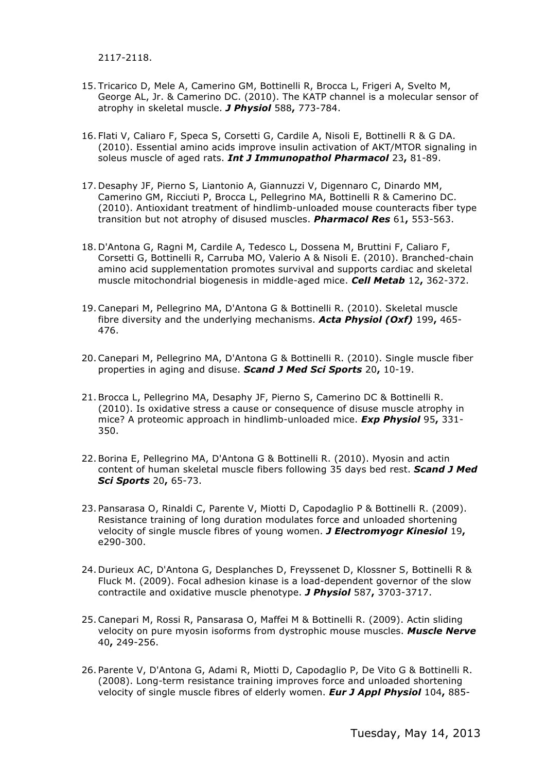2117-2118.

- 15. Tricarico D, Mele A, Camerino GM, Bottinelli R, Brocca L, Frigeri A, Svelto M, George AL, Jr. & Camerino DC. (2010). The KATP channel is a molecular sensor of atrophy in skeletal muscle. *J Physiol* 588**,** 773-784.
- 16. Flati V, Caliaro F, Speca S, Corsetti G, Cardile A, Nisoli E, Bottinelli R & G DA. (2010). Essential amino acids improve insulin activation of AKT/MTOR signaling in soleus muscle of aged rats. *Int J Immunopathol Pharmacol* 23**,** 81-89.
- 17. Desaphy JF, Pierno S, Liantonio A, Giannuzzi V, Digennaro C, Dinardo MM, Camerino GM, Ricciuti P, Brocca L, Pellegrino MA, Bottinelli R & Camerino DC. (2010). Antioxidant treatment of hindlimb-unloaded mouse counteracts fiber type transition but not atrophy of disused muscles. *Pharmacol Res* 61**,** 553-563.
- 18. D'Antona G, Ragni M, Cardile A, Tedesco L, Dossena M, Bruttini F, Caliaro F, Corsetti G, Bottinelli R, Carruba MO, Valerio A & Nisoli E. (2010). Branched-chain amino acid supplementation promotes survival and supports cardiac and skeletal muscle mitochondrial biogenesis in middle-aged mice. *Cell Metab* 12**,** 362-372.
- 19.Canepari M, Pellegrino MA, D'Antona G & Bottinelli R. (2010). Skeletal muscle fibre diversity and the underlying mechanisms. *Acta Physiol (Oxf)* 199**,** 465- 476.
- 20.Canepari M, Pellegrino MA, D'Antona G & Bottinelli R. (2010). Single muscle fiber properties in aging and disuse. *Scand J Med Sci Sports* 20**,** 10-19.
- 21. Brocca L, Pellegrino MA, Desaphy JF, Pierno S, Camerino DC & Bottinelli R. (2010). Is oxidative stress a cause or consequence of disuse muscle atrophy in mice? A proteomic approach in hindlimb-unloaded mice. *Exp Physiol* 95**,** 331- 350.
- 22. Borina E, Pellegrino MA, D'Antona G & Bottinelli R. (2010). Myosin and actin content of human skeletal muscle fibers following 35 days bed rest. *Scand J Med Sci Sports* 20**,** 65-73.
- 23. Pansarasa O, Rinaldi C, Parente V, Miotti D, Capodaglio P & Bottinelli R. (2009). Resistance training of long duration modulates force and unloaded shortening velocity of single muscle fibres of young women. *J Electromyogr Kinesiol* 19**,** e290-300.
- 24. Durieux AC, D'Antona G, Desplanches D, Freyssenet D, Klossner S, Bottinelli R & Fluck M. (2009). Focal adhesion kinase is a load-dependent governor of the slow contractile and oxidative muscle phenotype. *J Physiol* 587**,** 3703-3717.
- 25.Canepari M, Rossi R, Pansarasa O, Maffei M & Bottinelli R. (2009). Actin sliding velocity on pure myosin isoforms from dystrophic mouse muscles. *Muscle Nerve* 40**,** 249-256.
- 26. Parente V, D'Antona G, Adami R, Miotti D, Capodaglio P, De Vito G & Bottinelli R. (2008). Long-term resistance training improves force and unloaded shortening velocity of single muscle fibres of elderly women. *Eur J Appl Physiol* 104**,** 885-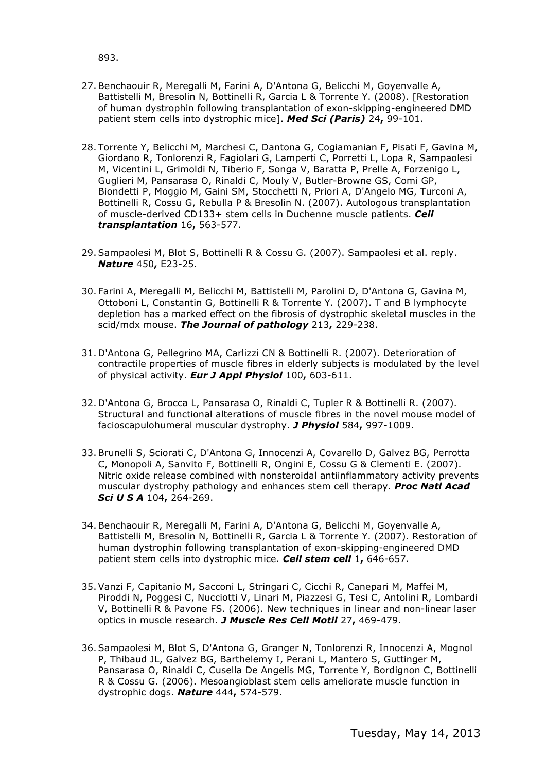893.

- 27. Benchaouir R, Meregalli M, Farini A, D'Antona G, Belicchi M, Goyenvalle A, Battistelli M, Bresolin N, Bottinelli R, Garcia L & Torrente Y. (2008). [Restoration of human dystrophin following transplantation of exon-skipping-engineered DMD patient stem cells into dystrophic mice]. *Med Sci (Paris)* 24**,** 99-101.
- 28. Torrente Y, Belicchi M, Marchesi C, Dantona G, Cogiamanian F, Pisati F, Gavina M, Giordano R, Tonlorenzi R, Fagiolari G, Lamperti C, Porretti L, Lopa R, Sampaolesi M, Vicentini L, Grimoldi N, Tiberio F, Songa V, Baratta P, Prelle A, Forzenigo L, Guglieri M, Pansarasa O, Rinaldi C, Mouly V, Butler-Browne GS, Comi GP, Biondetti P, Moggio M, Gaini SM, Stocchetti N, Priori A, D'Angelo MG, Turconi A, Bottinelli R, Cossu G, Rebulla P & Bresolin N. (2007). Autologous transplantation of muscle-derived CD133+ stem cells in Duchenne muscle patients. *Cell transplantation* 16**,** 563-577.
- 29. Sampaolesi M, Blot S, Bottinelli R & Cossu G. (2007). Sampaolesi et al. reply. *Nature* 450**,** E23-25.
- 30. Farini A, Meregalli M, Belicchi M, Battistelli M, Parolini D, D'Antona G, Gavina M, Ottoboni L, Constantin G, Bottinelli R & Torrente Y. (2007). T and B lymphocyte depletion has a marked effect on the fibrosis of dystrophic skeletal muscles in the scid/mdx mouse. *The Journal of pathology* 213**,** 229-238.
- 31. D'Antona G, Pellegrino MA, Carlizzi CN & Bottinelli R. (2007). Deterioration of contractile properties of muscle fibres in elderly subjects is modulated by the level of physical activity. *Eur J Appl Physiol* 100**,** 603-611.
- 32. D'Antona G, Brocca L, Pansarasa O, Rinaldi C, Tupler R & Bottinelli R. (2007). Structural and functional alterations of muscle fibres in the novel mouse model of facioscapulohumeral muscular dystrophy. *J Physiol* 584**,** 997-1009.
- 33. Brunelli S, Sciorati C, D'Antona G, Innocenzi A, Covarello D, Galvez BG, Perrotta C, Monopoli A, Sanvito F, Bottinelli R, Ongini E, Cossu G & Clementi E. (2007). Nitric oxide release combined with nonsteroidal antiinflammatory activity prevents muscular dystrophy pathology and enhances stem cell therapy. *Proc Natl Acad Sci U S A* 104**,** 264-269.
- 34. Benchaouir R, Meregalli M, Farini A, D'Antona G, Belicchi M, Goyenvalle A, Battistelli M, Bresolin N, Bottinelli R, Garcia L & Torrente Y. (2007). Restoration of human dystrophin following transplantation of exon-skipping-engineered DMD patient stem cells into dystrophic mice. *Cell stem cell* 1**,** 646-657.
- 35. Vanzi F, Capitanio M, Sacconi L, Stringari C, Cicchi R, Canepari M, Maffei M, Piroddi N, Poggesi C, Nucciotti V, Linari M, Piazzesi G, Tesi C, Antolini R, Lombardi V, Bottinelli R & Pavone FS. (2006). New techniques in linear and non-linear laser optics in muscle research. *J Muscle Res Cell Motil* 27**,** 469-479.
- 36. Sampaolesi M, Blot S, D'Antona G, Granger N, Tonlorenzi R, Innocenzi A, Mognol P, Thibaud JL, Galvez BG, Barthelemy I, Perani L, Mantero S, Guttinger M, Pansarasa O, Rinaldi C, Cusella De Angelis MG, Torrente Y, Bordignon C, Bottinelli R & Cossu G. (2006). Mesoangioblast stem cells ameliorate muscle function in dystrophic dogs. *Nature* 444**,** 574-579.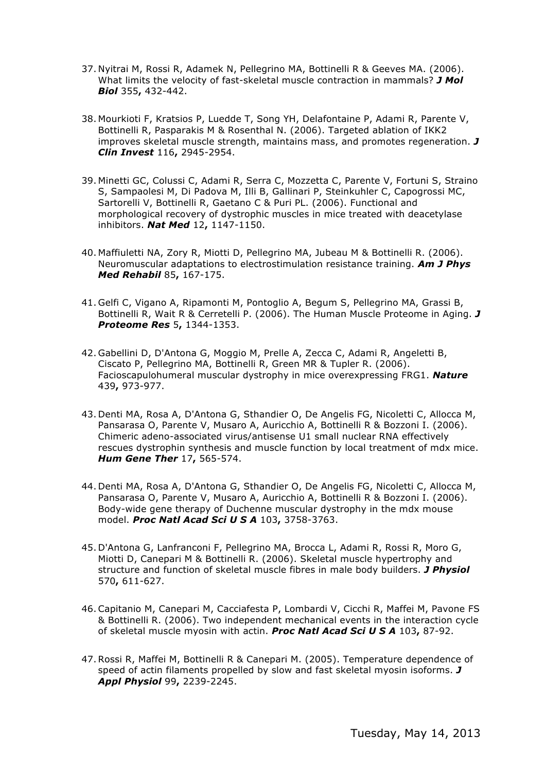- 37. Nyitrai M, Rossi R, Adamek N, Pellegrino MA, Bottinelli R & Geeves MA. (2006). What limits the velocity of fast-skeletal muscle contraction in mammals? *J Mol Biol* 355**,** 432-442.
- 38. Mourkioti F, Kratsios P, Luedde T, Song YH, Delafontaine P, Adami R, Parente V, Bottinelli R, Pasparakis M & Rosenthal N. (2006). Targeted ablation of IKK2 improves skeletal muscle strength, maintains mass, and promotes regeneration. *J Clin Invest* 116**,** 2945-2954.
- 39. Minetti GC, Colussi C, Adami R, Serra C, Mozzetta C, Parente V, Fortuni S, Straino S, Sampaolesi M, Di Padova M, Illi B, Gallinari P, Steinkuhler C, Capogrossi MC, Sartorelli V, Bottinelli R, Gaetano C & Puri PL. (2006). Functional and morphological recovery of dystrophic muscles in mice treated with deacetylase inhibitors. *Nat Med* 12**,** 1147-1150.
- 40. Maffiuletti NA, Zory R, Miotti D, Pellegrino MA, Jubeau M & Bottinelli R. (2006). Neuromuscular adaptations to electrostimulation resistance training. *Am J Phys Med Rehabil* 85**,** 167-175.
- 41. Gelfi C, Vigano A, Ripamonti M, Pontoglio A, Begum S, Pellegrino MA, Grassi B, Bottinelli R, Wait R & Cerretelli P. (2006). The Human Muscle Proteome in Aging. *J Proteome Res* 5**,** 1344-1353.
- 42. Gabellini D, D'Antona G, Moggio M, Prelle A, Zecca C, Adami R, Angeletti B, Ciscato P, Pellegrino MA, Bottinelli R, Green MR & Tupler R. (2006). Facioscapulohumeral muscular dystrophy in mice overexpressing FRG1. *Nature* 439**,** 973-977.
- 43. Denti MA, Rosa A, D'Antona G, Sthandier O, De Angelis FG, Nicoletti C, Allocca M, Pansarasa O, Parente V, Musaro A, Auricchio A, Bottinelli R & Bozzoni I. (2006). Chimeric adeno-associated virus/antisense U1 small nuclear RNA effectively rescues dystrophin synthesis and muscle function by local treatment of mdx mice. *Hum Gene Ther* 17**,** 565-574.
- 44. Denti MA, Rosa A, D'Antona G, Sthandier O, De Angelis FG, Nicoletti C, Allocca M, Pansarasa O, Parente V, Musaro A, Auricchio A, Bottinelli R & Bozzoni I. (2006). Body-wide gene therapy of Duchenne muscular dystrophy in the mdx mouse model. *Proc Natl Acad Sci U S A* 103**,** 3758-3763.
- 45. D'Antona G, Lanfranconi F, Pellegrino MA, Brocca L, Adami R, Rossi R, Moro G, Miotti D, Canepari M & Bottinelli R. (2006). Skeletal muscle hypertrophy and structure and function of skeletal muscle fibres in male body builders. *J Physiol* 570**,** 611-627.
- 46.Capitanio M, Canepari M, Cacciafesta P, Lombardi V, Cicchi R, Maffei M, Pavone FS & Bottinelli R. (2006). Two independent mechanical events in the interaction cycle of skeletal muscle myosin with actin. *Proc Natl Acad Sci U S A* 103**,** 87-92.
- 47.Rossi R, Maffei M, Bottinelli R & Canepari M. (2005). Temperature dependence of speed of actin filaments propelled by slow and fast skeletal myosin isoforms. *J Appl Physiol* 99**,** 2239-2245.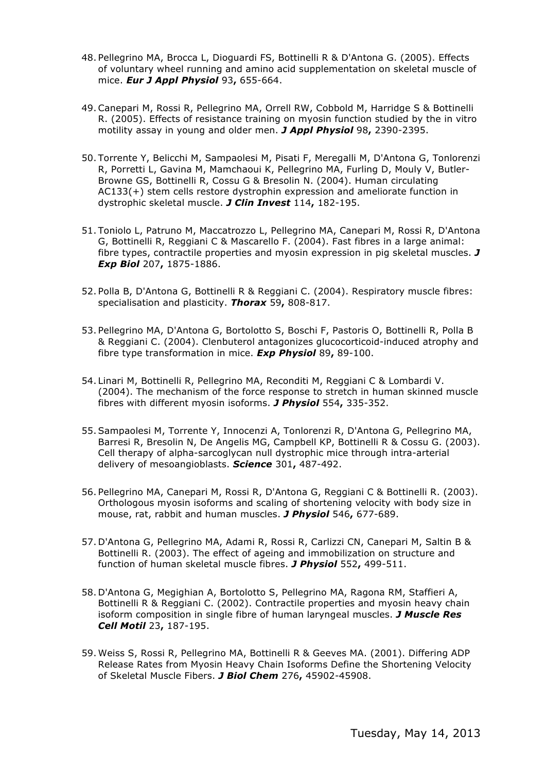- 48. Pellegrino MA, Brocca L, Dioguardi FS, Bottinelli R & D'Antona G. (2005). Effects of voluntary wheel running and amino acid supplementation on skeletal muscle of mice. *Eur J Appl Physiol* 93**,** 655-664.
- 49.Canepari M, Rossi R, Pellegrino MA, Orrell RW, Cobbold M, Harridge S & Bottinelli R. (2005). Effects of resistance training on myosin function studied by the in vitro motility assay in young and older men. *J Appl Physiol* 98**,** 2390-2395.
- 50. Torrente Y, Belicchi M, Sampaolesi M, Pisati F, Meregalli M, D'Antona G, Tonlorenzi R, Porretti L, Gavina M, Mamchaoui K, Pellegrino MA, Furling D, Mouly V, Butler-Browne GS, Bottinelli R, Cossu G & Bresolin N. (2004). Human circulating AC133(+) stem cells restore dystrophin expression and ameliorate function in dystrophic skeletal muscle. *J Clin Invest* 114**,** 182-195.
- 51. Toniolo L, Patruno M, Maccatrozzo L, Pellegrino MA, Canepari M, Rossi R, D'Antona G, Bottinelli R, Reggiani C & Mascarello F. (2004). Fast fibres in a large animal: fibre types, contractile properties and myosin expression in pig skeletal muscles. *J Exp Biol* 207**,** 1875-1886.
- 52. Polla B, D'Antona G, Bottinelli R & Reggiani C. (2004). Respiratory muscle fibres: specialisation and plasticity. *Thorax* 59**,** 808-817.
- 53. Pellegrino MA, D'Antona G, Bortolotto S, Boschi F, Pastoris O, Bottinelli R, Polla B & Reggiani C. (2004). Clenbuterol antagonizes glucocorticoid-induced atrophy and fibre type transformation in mice. *Exp Physiol* 89**,** 89-100.
- 54. Linari M, Bottinelli R, Pellegrino MA, Reconditi M, Reggiani C & Lombardi V. (2004). The mechanism of the force response to stretch in human skinned muscle fibres with different myosin isoforms. *J Physiol* 554**,** 335-352.
- 55. Sampaolesi M, Torrente Y, Innocenzi A, Tonlorenzi R, D'Antona G, Pellegrino MA, Barresi R, Bresolin N, De Angelis MG, Campbell KP, Bottinelli R & Cossu G. (2003). Cell therapy of alpha-sarcoglycan null dystrophic mice through intra-arterial delivery of mesoangioblasts. *Science* 301**,** 487-492.
- 56. Pellegrino MA, Canepari M, Rossi R, D'Antona G, Reggiani C & Bottinelli R. (2003). Orthologous myosin isoforms and scaling of shortening velocity with body size in mouse, rat, rabbit and human muscles. *J Physiol* 546**,** 677-689.
- 57. D'Antona G, Pellegrino MA, Adami R, Rossi R, Carlizzi CN, Canepari M, Saltin B & Bottinelli R. (2003). The effect of ageing and immobilization on structure and function of human skeletal muscle fibres. *J Physiol* 552**,** 499-511.
- 58. D'Antona G, Megighian A, Bortolotto S, Pellegrino MA, Ragona RM, Staffieri A, Bottinelli R & Reggiani C. (2002). Contractile properties and myosin heavy chain isoform composition in single fibre of human laryngeal muscles. *J Muscle Res Cell Motil* 23**,** 187-195.
- 59. Weiss S, Rossi R, Pellegrino MA, Bottinelli R & Geeves MA. (2001). Differing ADP Release Rates from Myosin Heavy Chain Isoforms Define the Shortening Velocity of Skeletal Muscle Fibers. *J Biol Chem* 276**,** 45902-45908.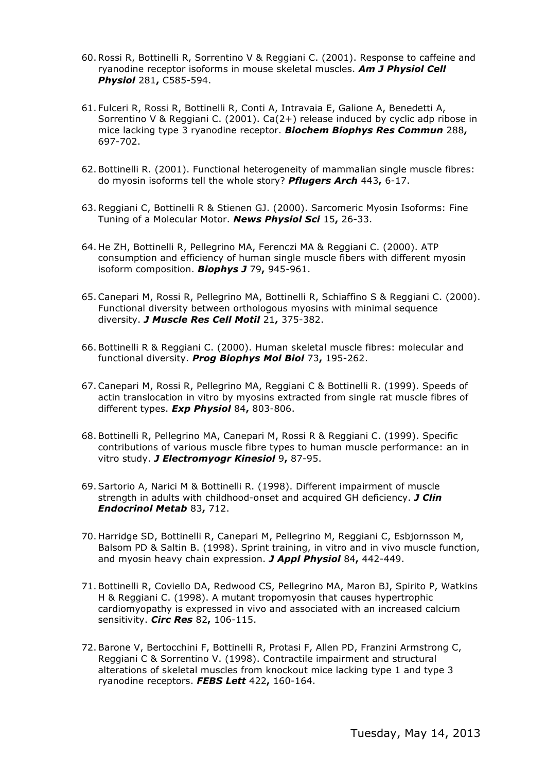- 60.Rossi R, Bottinelli R, Sorrentino V & Reggiani C. (2001). Response to caffeine and ryanodine receptor isoforms in mouse skeletal muscles. *Am J Physiol Cell Physiol* 281**,** C585-594.
- 61. Fulceri R, Rossi R, Bottinelli R, Conti A, Intravaia E, Galione A, Benedetti A, Sorrentino V & Reggiani C. (2001). Ca(2+) release induced by cyclic adp ribose in mice lacking type 3 ryanodine receptor. *Biochem Biophys Res Commun* 288**,** 697-702.
- 62. Bottinelli R. (2001). Functional heterogeneity of mammalian single muscle fibres: do myosin isoforms tell the whole story? *Pflugers Arch* 443**,** 6-17.
- 63.Reggiani C, Bottinelli R & Stienen GJ. (2000). Sarcomeric Myosin Isoforms: Fine Tuning of a Molecular Motor. *News Physiol Sci* 15**,** 26-33.
- 64. He ZH, Bottinelli R, Pellegrino MA, Ferenczi MA & Reggiani C. (2000). ATP consumption and efficiency of human single muscle fibers with different myosin isoform composition. *Biophys J* 79**,** 945-961.
- 65.Canepari M, Rossi R, Pellegrino MA, Bottinelli R, Schiaffino S & Reggiani C. (2000). Functional diversity between orthologous myosins with minimal sequence diversity. *J Muscle Res Cell Motil* 21**,** 375-382.
- 66. Bottinelli R & Reggiani C. (2000). Human skeletal muscle fibres: molecular and functional diversity. *Prog Biophys Mol Biol* 73**,** 195-262.
- 67.Canepari M, Rossi R, Pellegrino MA, Reggiani C & Bottinelli R. (1999). Speeds of actin translocation in vitro by myosins extracted from single rat muscle fibres of different types. *Exp Physiol* 84**,** 803-806.
- 68. Bottinelli R, Pellegrino MA, Canepari M, Rossi R & Reggiani C. (1999). Specific contributions of various muscle fibre types to human muscle performance: an in vitro study. *J Electromyogr Kinesiol* 9**,** 87-95.
- 69. Sartorio A, Narici M & Bottinelli R. (1998). Different impairment of muscle strength in adults with childhood-onset and acquired GH deficiency. *J Clin Endocrinol Metab* 83**,** 712.
- 70. Harridge SD, Bottinelli R, Canepari M, Pellegrino M, Reggiani C, Esbjornsson M, Balsom PD & Saltin B. (1998). Sprint training, in vitro and in vivo muscle function, and myosin heavy chain expression. *J Appl Physiol* 84**,** 442-449.
- 71. Bottinelli R, Coviello DA, Redwood CS, Pellegrino MA, Maron BJ, Spirito P, Watkins H & Reggiani C. (1998). A mutant tropomyosin that causes hypertrophic cardiomyopathy is expressed in vivo and associated with an increased calcium sensitivity. *Circ Res* 82**,** 106-115.
- 72. Barone V, Bertocchini F, Bottinelli R, Protasi F, Allen PD, Franzini Armstrong C, Reggiani C & Sorrentino V. (1998). Contractile impairment and structural alterations of skeletal muscles from knockout mice lacking type 1 and type 3 ryanodine receptors. *FEBS Lett* 422**,** 160-164.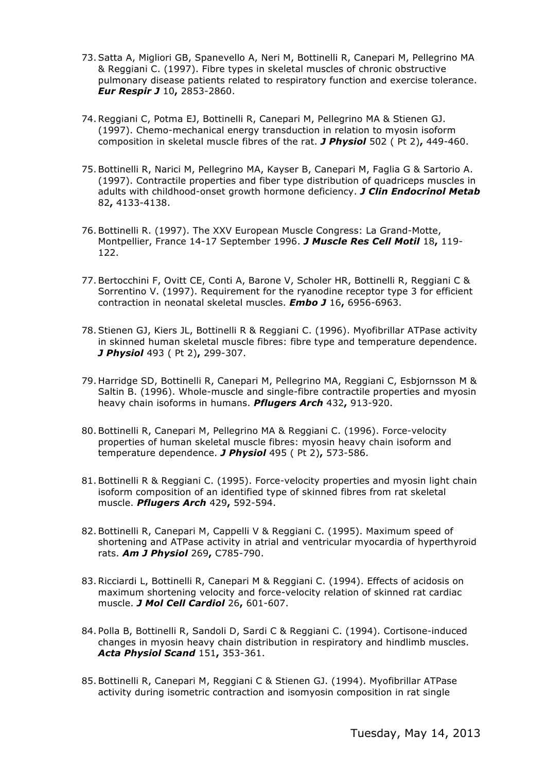- 73. Satta A, Migliori GB, Spanevello A, Neri M, Bottinelli R, Canepari M, Pellegrino MA & Reggiani C. (1997). Fibre types in skeletal muscles of chronic obstructive pulmonary disease patients related to respiratory function and exercise tolerance. *Eur Respir J* 10**,** 2853-2860.
- 74.Reggiani C, Potma EJ, Bottinelli R, Canepari M, Pellegrino MA & Stienen GJ. (1997). Chemo-mechanical energy transduction in relation to myosin isoform composition in skeletal muscle fibres of the rat. *J Physiol* 502 ( Pt 2)**,** 449-460.
- 75. Bottinelli R, Narici M, Pellegrino MA, Kayser B, Canepari M, Faglia G & Sartorio A. (1997). Contractile properties and fiber type distribution of quadriceps muscles in adults with childhood-onset growth hormone deficiency. *J Clin Endocrinol Metab* 82**,** 4133-4138.
- 76. Bottinelli R. (1997). The XXV European Muscle Congress: La Grand-Motte, Montpellier, France 14-17 September 1996. *J Muscle Res Cell Motil* 18**,** 119- 122.
- 77. Bertocchini F, Ovitt CE, Conti A, Barone V, Scholer HR, Bottinelli R, Reggiani C & Sorrentino V. (1997). Requirement for the ryanodine receptor type 3 for efficient contraction in neonatal skeletal muscles. *Embo J* 16**,** 6956-6963.
- 78. Stienen GJ, Kiers JL, Bottinelli R & Reggiani C. (1996). Myofibrillar ATPase activity in skinned human skeletal muscle fibres: fibre type and temperature dependence. *J Physiol* 493 ( Pt 2)**,** 299-307.
- 79. Harridge SD, Bottinelli R, Canepari M, Pellegrino MA, Reggiani C, Esbjornsson M & Saltin B. (1996). Whole-muscle and single-fibre contractile properties and myosin heavy chain isoforms in humans. *Pflugers Arch* 432**,** 913-920.
- 80. Bottinelli R, Canepari M, Pellegrino MA & Reggiani C. (1996). Force-velocity properties of human skeletal muscle fibres: myosin heavy chain isoform and temperature dependence. *J Physiol* 495 ( Pt 2)**,** 573-586.
- 81. Bottinelli R & Reggiani C. (1995). Force-velocity properties and myosin light chain isoform composition of an identified type of skinned fibres from rat skeletal muscle. *Pflugers Arch* 429**,** 592-594.
- 82. Bottinelli R, Canepari M, Cappelli V & Reggiani C. (1995). Maximum speed of shortening and ATPase activity in atrial and ventricular myocardia of hyperthyroid rats. *Am J Physiol* 269**,** C785-790.
- 83.Ricciardi L, Bottinelli R, Canepari M & Reggiani C. (1994). Effects of acidosis on maximum shortening velocity and force-velocity relation of skinned rat cardiac muscle. *J Mol Cell Cardiol* 26**,** 601-607.
- 84. Polla B, Bottinelli R, Sandoli D, Sardi C & Reggiani C. (1994). Cortisone-induced changes in myosin heavy chain distribution in respiratory and hindlimb muscles. *Acta Physiol Scand* 151**,** 353-361.
- 85. Bottinelli R, Canepari M, Reggiani C & Stienen GJ. (1994). Myofibrillar ATPase activity during isometric contraction and isomyosin composition in rat single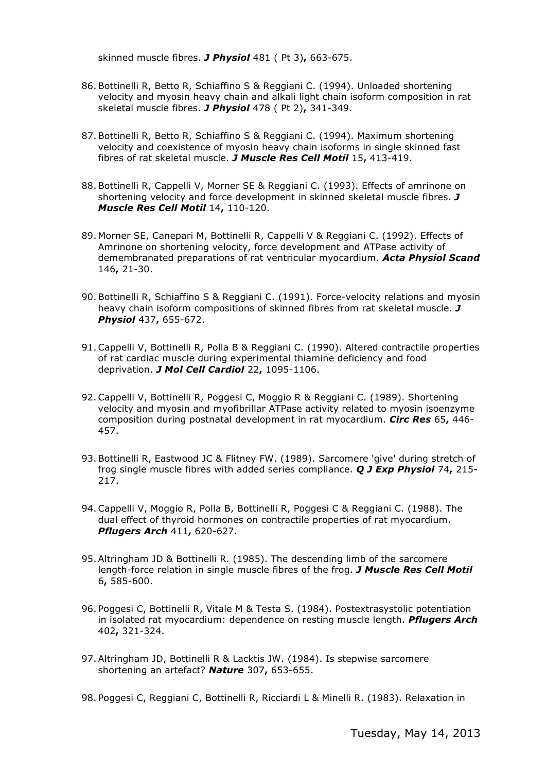skinned muscle fibres. *J Physiol* 481 ( Pt 3)**,** 663-675.

- 86. Bottinelli R, Betto R, Schiaffino S & Reggiani C. (1994). Unloaded shortening velocity and myosin heavy chain and alkali light chain isoform composition in rat skeletal muscle fibres. *J Physiol* 478 ( Pt 2)**,** 341-349.
- 87. Bottinelli R, Betto R, Schiaffino S & Reggiani C. (1994). Maximum shortening velocity and coexistence of myosin heavy chain isoforms in single skinned fast fibres of rat skeletal muscle. *J Muscle Res Cell Motil* 15**,** 413-419.
- 88. Bottinelli R, Cappelli V, Morner SE & Reggiani C. (1993). Effects of amrinone on shortening velocity and force development in skinned skeletal muscle fibres. *J Muscle Res Cell Motil* 14**,** 110-120.
- 89. Morner SE, Canepari M, Bottinelli R, Cappelli V & Reggiani C. (1992). Effects of Amrinone on shortening velocity, force development and ATPase activity of demembranated preparations of rat ventricular myocardium. *Acta Physiol Scand* 146**,** 21-30.
- 90. Bottinelli R, Schiaffino S & Reggiani C. (1991). Force-velocity relations and myosin heavy chain isoform compositions of skinned fibres from rat skeletal muscle. *J Physiol* 437**,** 655-672.
- 91.Cappelli V, Bottinelli R, Polla B & Reggiani C. (1990). Altered contractile properties of rat cardiac muscle during experimental thiamine deficiency and food deprivation. *J Mol Cell Cardiol* 22**,** 1095-1106.
- 92.Cappelli V, Bottinelli R, Poggesi C, Moggio R & Reggiani C. (1989). Shortening velocity and myosin and myofibrillar ATPase activity related to myosin isoenzyme composition during postnatal development in rat myocardium. *Circ Res* 65**,** 446- 457.
- 93. Bottinelli R, Eastwood JC & Flitney FW. (1989). Sarcomere 'give' during stretch of frog single muscle fibres with added series compliance. *Q J Exp Physiol* 74**,** 215- 217.
- 94.Cappelli V, Moggio R, Polla B, Bottinelli R, Poggesi C & Reggiani C. (1988). The dual effect of thyroid hormones on contractile properties of rat myocardium. *Pflugers Arch* 411**,** 620-627.
- 95. Altringham JD & Bottinelli R. (1985). The descending limb of the sarcomere length-force relation in single muscle fibres of the frog. *J Muscle Res Cell Motil* 6**,** 585-600.
- 96. Poggesi C, Bottinelli R, Vitale M & Testa S. (1984). Postextrasystolic potentiation in isolated rat myocardium: dependence on resting muscle length. *Pflugers Arch* 402**,** 321-324.
- 97. Altringham JD, Bottinelli R & Lacktis JW. (1984). Is stepwise sarcomere shortening an artefact? *Nature* 307**,** 653-655.
- 98. Poggesi C, Reggiani C, Bottinelli R, Ricciardi L & Minelli R. (1983). Relaxation in